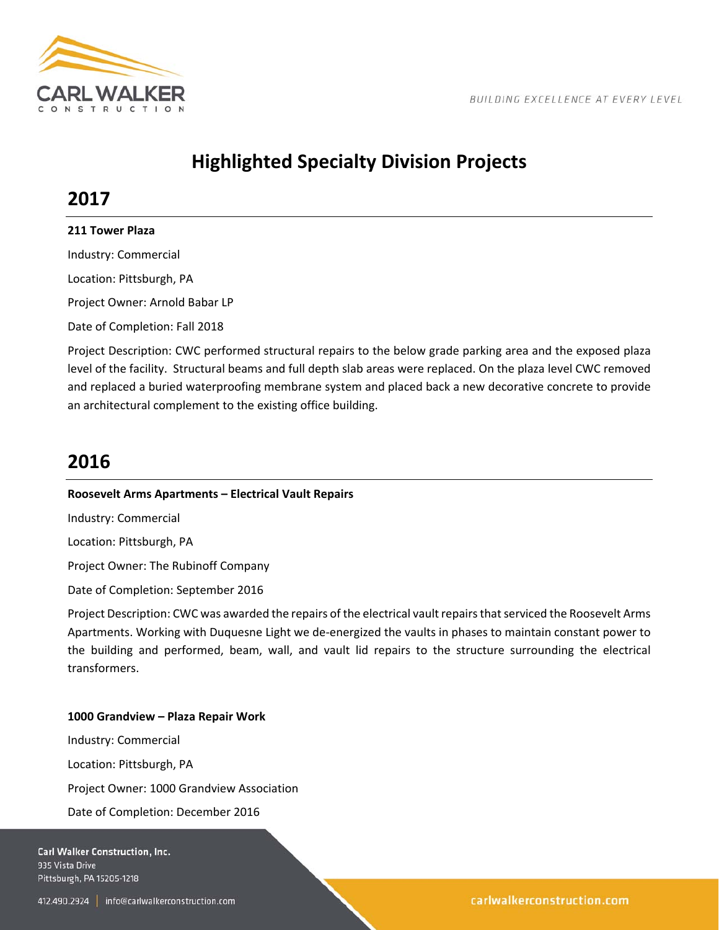

# **Highlighted Specialty Division Projects**

## **2017**

### **211 Tower Plaza**

Industry: Commercial

Location: Pittsburgh, PA

Project Owner: Arnold Babar LP

Date of Completion: Fall 2018

Project Description: CWC performed structural repairs to the below grade parking area and the exposed plaza level of the facility. Structural beams and full depth slab areas were replaced. On the plaza level CWC removed and replaced a buried waterproofing membrane system and placed back a new decorative concrete to provide an architectural complement to the existing office building.

## **2016**

### **Roosevelt Arms Apartments – Electrical Vault Repairs**

Industry: Commercial

Location: Pittsburgh, PA

Project Owner: The Rubinoff Company

Date of Completion: September 2016

Project Description: CWC was awarded the repairs of the electrical vault repairs that serviced the Roosevelt Arms Apartments. Working with Duquesne Light we de‐energized the vaults in phases to maintain constant power to the building and performed, beam, wall, and vault lid repairs to the structure surrounding the electrical transformers.

### **1000 Grandview – Plaza Repair Work**

Industry: Commercial Location: Pittsburgh, PA Project Owner: 1000 Grandview Association Date of Completion: December 2016

Carl Walker Construction, Inc. 935 Vista Drive Pittsburgh, PA 15205-1218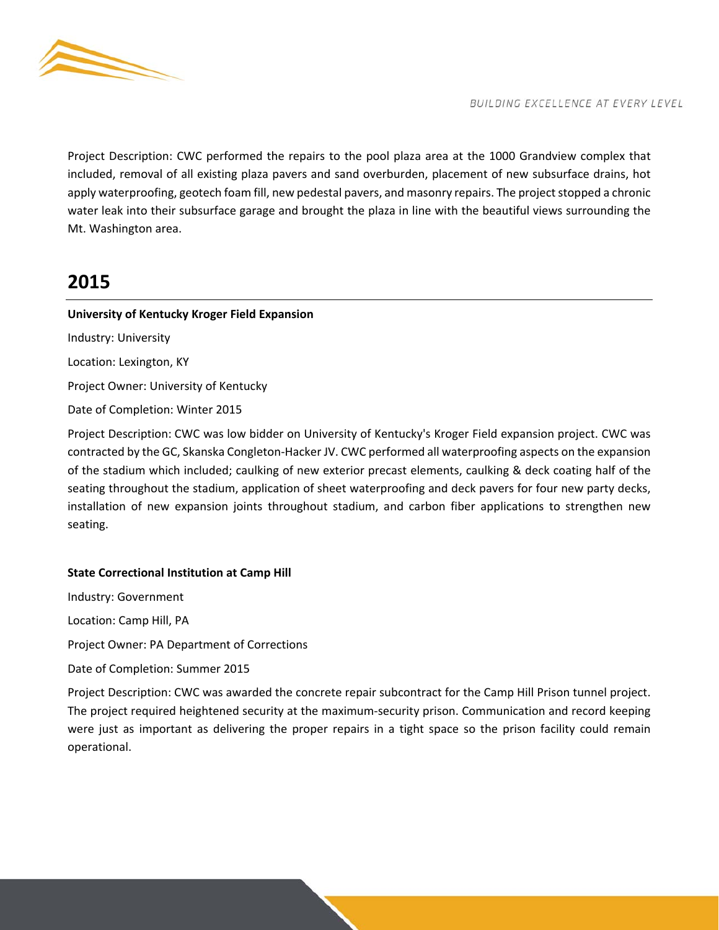

Project Description: CWC performed the repairs to the pool plaza area at the 1000 Grandview complex that included, removal of all existing plaza pavers and sand overburden, placement of new subsurface drains, hot apply waterproofing, geotech foam fill, new pedestal pavers, and masonry repairs. The project stopped a chronic water leak into their subsurface garage and brought the plaza in line with the beautiful views surrounding the Mt. Washington area.

## **2015**

### **University of Kentucky Kroger Field Expansion**

Industry: University Location: Lexington, KY Project Owner: University of Kentucky Date of Completion: Winter 2015

Project Description: CWC was low bidder on University of Kentucky's Kroger Field expansion project. CWC was contracted by the GC, Skanska Congleton‐Hacker JV. CWC performed all waterproofing aspects on the expansion of the stadium which included; caulking of new exterior precast elements, caulking & deck coating half of the seating throughout the stadium, application of sheet waterproofing and deck pavers for four new party decks, installation of new expansion joints throughout stadium, and carbon fiber applications to strengthen new seating.

### **State Correctional Institution at Camp Hill**

Industry: Government Location: Camp Hill, PA Project Owner: PA Department of Corrections Date of Completion: Summer 2015

Project Description: CWC was awarded the concrete repair subcontract for the Camp Hill Prison tunnel project. The project required heightened security at the maximum-security prison. Communication and record keeping were just as important as delivering the proper repairs in a tight space so the prison facility could remain operational.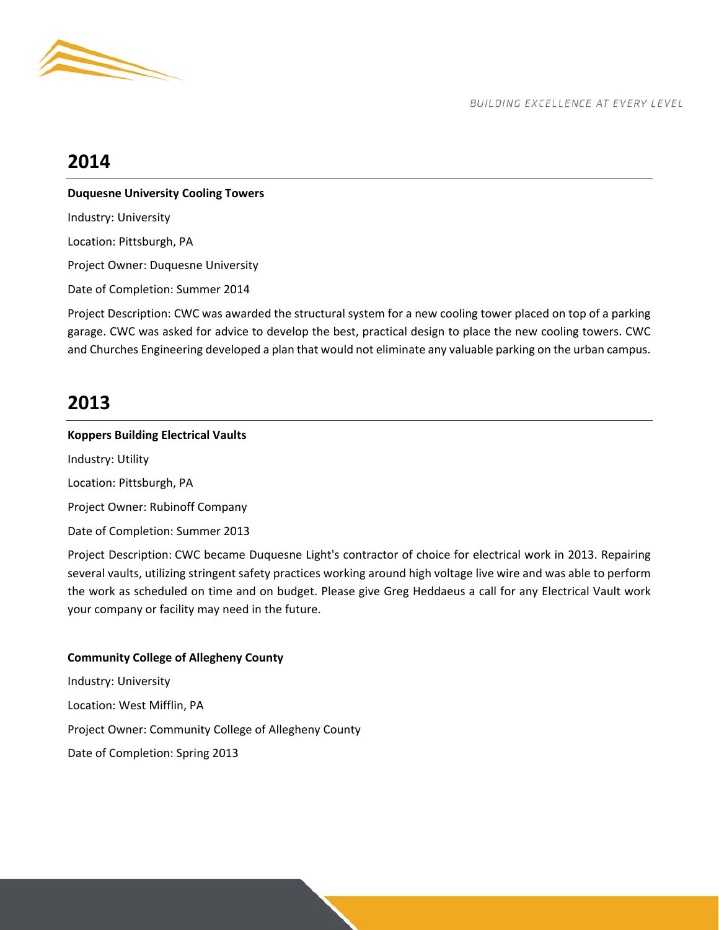

## **2014**

### **Duquesne University Cooling Towers**

Industry: University Location: Pittsburgh, PA Project Owner: Duquesne University Date of Completion: Summer 2014

Project Description: CWC was awarded the structural system for a new cooling tower placed on top of a parking garage. CWC was asked for advice to develop the best, practical design to place the new cooling towers. CWC and Churches Engineering developed a plan that would not eliminate any valuable parking on the urban campus.

## **2013**

## **Koppers Building Electrical Vaults**  Industry: Utility Location: Pittsburgh, PA Project Owner: Rubinoff Company Date of Completion: Summer 2013

Project Description: CWC became Duquesne Light's contractor of choice for electrical work in 2013. Repairing several vaults, utilizing stringent safety practices working around high voltage live wire and was able to perform the work as scheduled on time and on budget. Please give Greg Heddaeus a call for any Electrical Vault work your company or facility may need in the future.

### **Community College of Allegheny County**

Industry: University Location: West Mifflin, PA Project Owner: Community College of Allegheny County Date of Completion: Spring 2013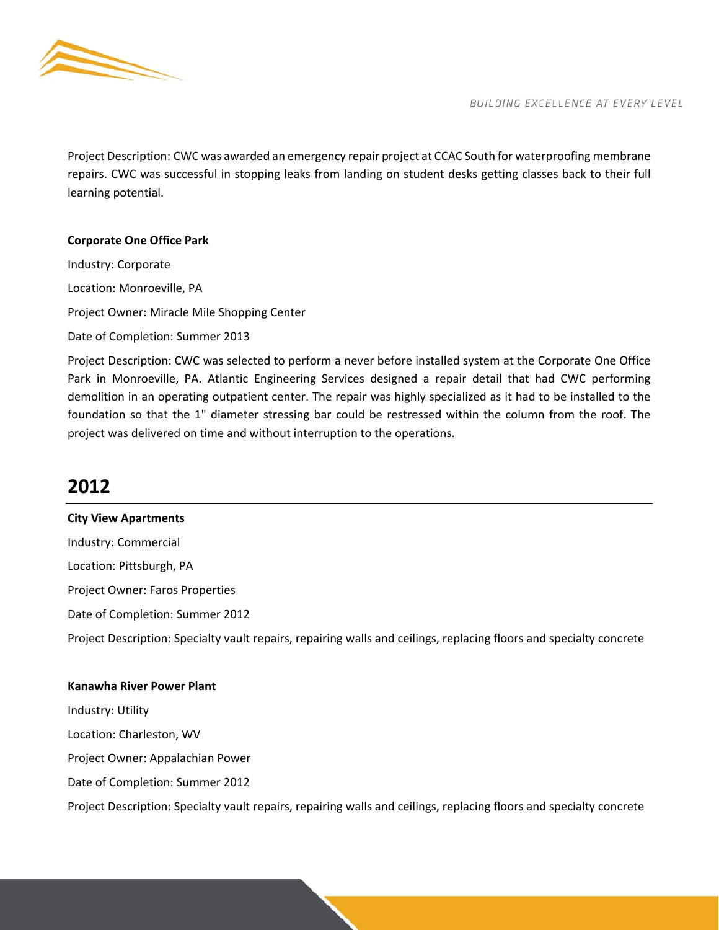

Project Description: CWC was awarded an emergency repair project at CCAC South for waterproofing membrane repairs. CWC was successful in stopping leaks from landing on student desks getting classes back to their full learning potential.

### **Corporate One Office Park**

Industry: Corporate Location: Monroeville, PA Project Owner: Miracle Mile Shopping Center Date of Completion: Summer 2013

Project Description: CWC was selected to perform a never before installed system at the Corporate One Office Park in Monroeville, PA. Atlantic Engineering Services designed a repair detail that had CWC performing demolition in an operating outpatient center. The repair was highly specialized as it had to be installed to the foundation so that the 1" diameter stressing bar could be restressed within the column from the roof. The project was delivered on time and without interruption to the operations.

## **2012**

**City View Apartments**  Industry: Commercial Location: Pittsburgh, PA Project Owner: Faros Properties Date of Completion: Summer 2012 Project Description: Specialty vault repairs, repairing walls and ceilings, replacing floors and specialty concrete

#### **Kanawha River Power Plant**

Industry: Utility Location: Charleston, WV Project Owner: Appalachian Power Date of Completion: Summer 2012 Project Description: Specialty vault repairs, repairing walls and ceilings, replacing floors and specialty concrete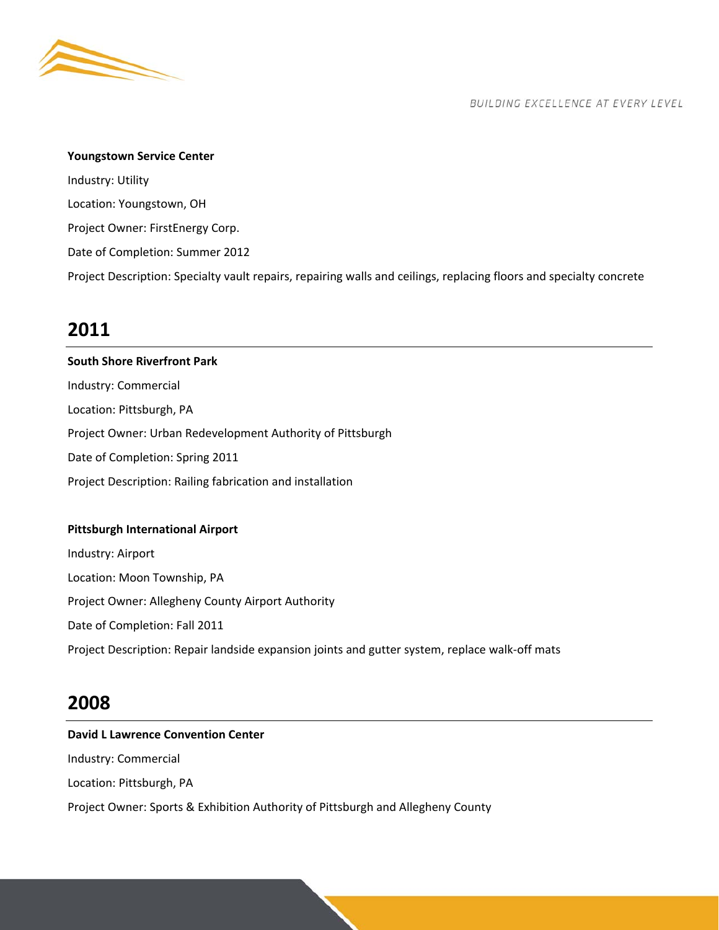

#### **Youngstown Service Center**

Industry: Utility Location: Youngstown, OH Project Owner: FirstEnergy Corp. Date of Completion: Summer 2012 Project Description: Specialty vault repairs, repairing walls and ceilings, replacing floors and specialty concrete

### **2011**

**South Shore Riverfront Park**  Industry: Commercial Location: Pittsburgh, PA Project Owner: Urban Redevelopment Authority of Pittsburgh Date of Completion: Spring 2011 Project Description: Railing fabrication and installation

### **Pittsburgh International Airport**

Industry: Airport Location: Moon Township, PA Project Owner: Allegheny County Airport Authority Date of Completion: Fall 2011 Project Description: Repair landside expansion joints and gutter system, replace walk‐off mats

## **2008**

## **David L Lawrence Convention Center**  Industry: Commercial Location: Pittsburgh, PA Project Owner: Sports & Exhibition Authority of Pittsburgh and Allegheny County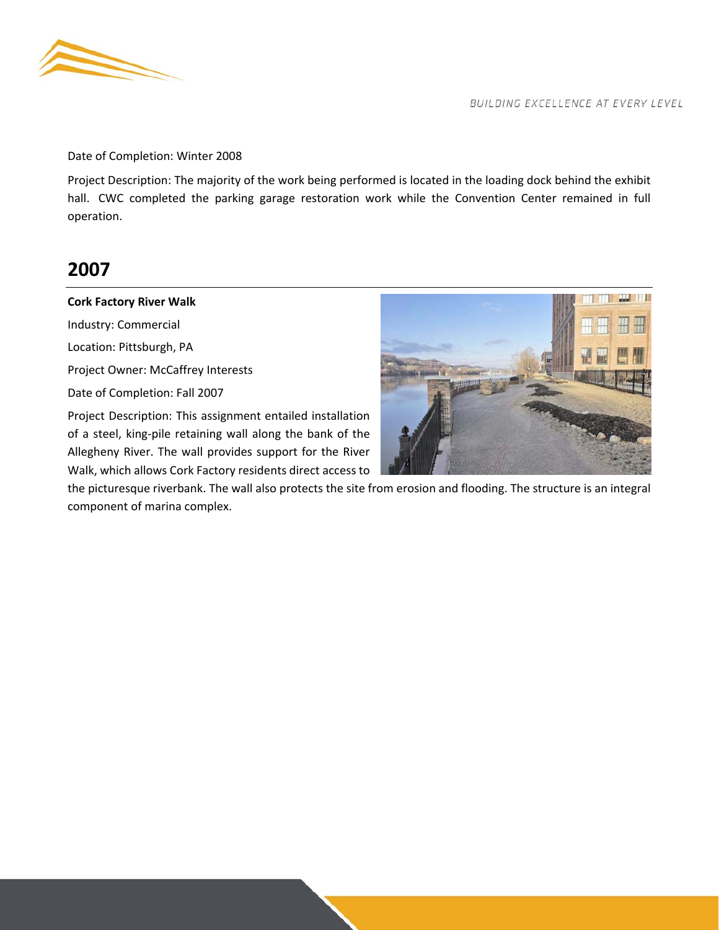

Date of Completion: Winter 2008

Project Description: The majority of the work being performed is located in the loading dock behind the exhibit hall. CWC completed the parking garage restoration work while the Convention Center remained in full operation.

## **2007**

#### **Cork Factory River Walk**

Industry: Commercial Location: Pittsburgh, PA Project Owner: McCaffrey Interests Date of Completion: Fall 2007 Project Description: This assignment entailed installation

of a steel, king‐pile retaining wall along the bank of the Allegheny River. The wall provides support for the River Walk, which allows Cork Factory residents direct access to

the picturesque riverbank. The wall also protects the site from erosion and flooding. The structure is an integral component of marina complex.

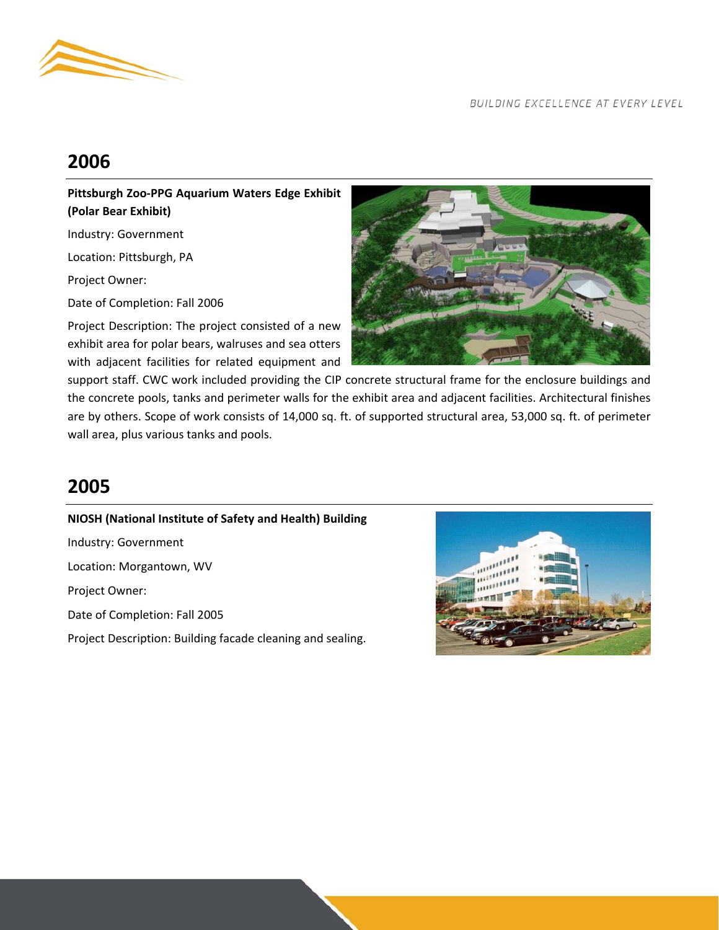

## **2006**

**Pittsburgh Zoo‐PPG Aquarium Waters Edge Exhibit (Polar Bear Exhibit)** 

Industry: Government

Location: Pittsburgh, PA

Project Owner:

Date of Completion: Fall 2006

Project Description: The project consisted of a new exhibit area for polar bears, walruses and sea otters with adjacent facilities for related equipment and



support staff. CWC work included providing the CIP concrete structural frame for the enclosure buildings and the concrete pools, tanks and perimeter walls for the exhibit area and adjacent facilities. Architectural finishes are by others. Scope of work consists of 14,000 sq. ft. of supported structural area, 53,000 sq. ft. of perimeter wall area, plus various tanks and pools.

## **2005**

**NIOSH (National Institute of Safety and Health) Building**  Industry: Government Location: Morgantown, WV Project Owner: Date of Completion: Fall 2005 Project Description: Building facade cleaning and sealing.

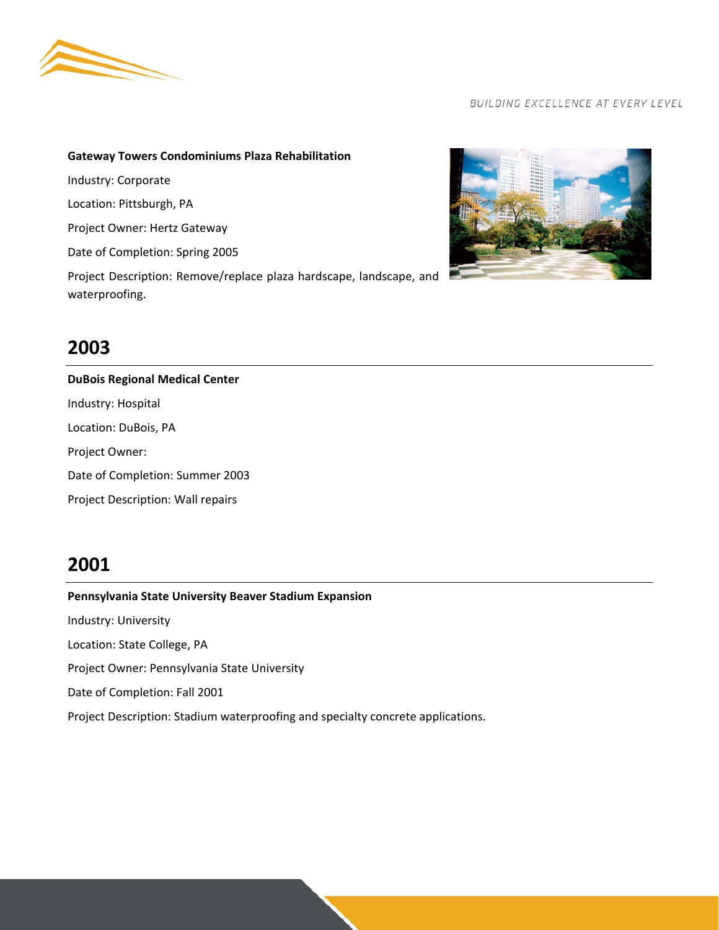

### **Gateway Towers Condominiums Plaza Rehabilitation**

Industry: Corporate

Location: Pittsburgh, PA

Project Owner: Hertz Gateway

Date of Completion: Spring 2005

Project Description: Remove/replace plaza hardscape, landscape, and waterproofing.



## **2003**

**DuBois Regional Medical Center**  Industry: Hospital Location: DuBois, PA Project Owner: Date of Completion: Summer 2003 Project Description: Wall repairs

## **2001**

### **Pennsylvania State University Beaver Stadium Expansion**

Industry: University

Location: State College, PA

Project Owner: Pennsylvania State University

Date of Completion: Fall 2001

Project Description: Stadium waterproofing and specialty concrete applications.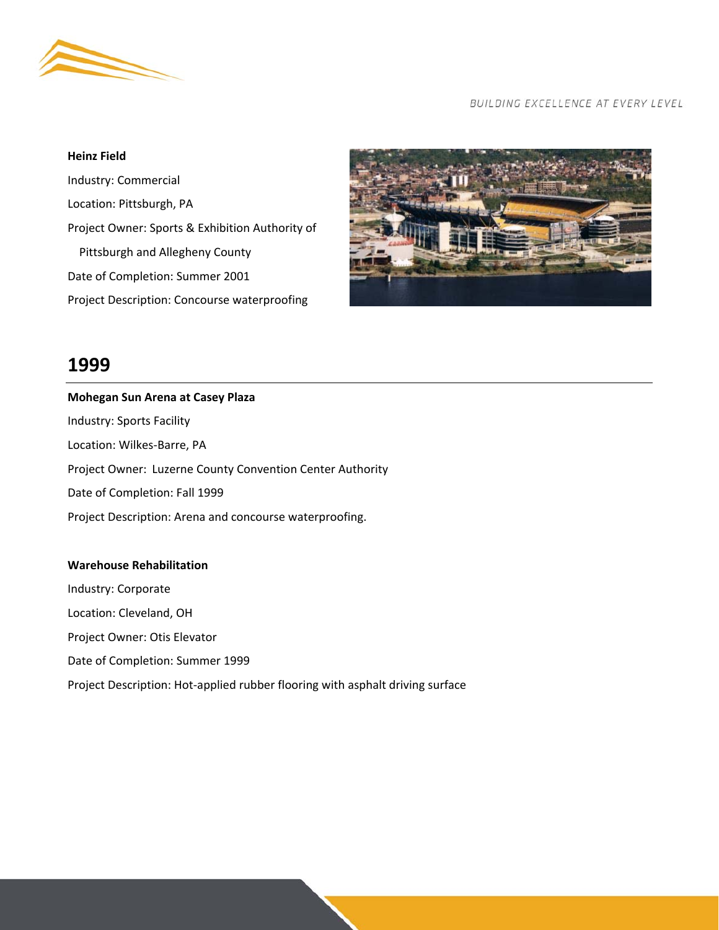

#### **Heinz Field**

Industry: Commercial Location: Pittsburgh, PA Project Owner: Sports & Exhibition Authority of Pittsburgh and Allegheny County Date of Completion: Summer 2001 Project Description: Concourse waterproofing



### **1999**

## **Mohegan Sun Arena at Casey Plaza**  Industry: Sports Facility Location: Wilkes‐Barre, PA Project Owner: Luzerne County Convention Center Authority Date of Completion: Fall 1999 Project Description: Arena and concourse waterproofing.

### **Warehouse Rehabilitation**

Industry: Corporate Location: Cleveland, OH Project Owner: Otis Elevator Date of Completion: Summer 1999 Project Description: Hot‐applied rubber flooring with asphalt driving surface